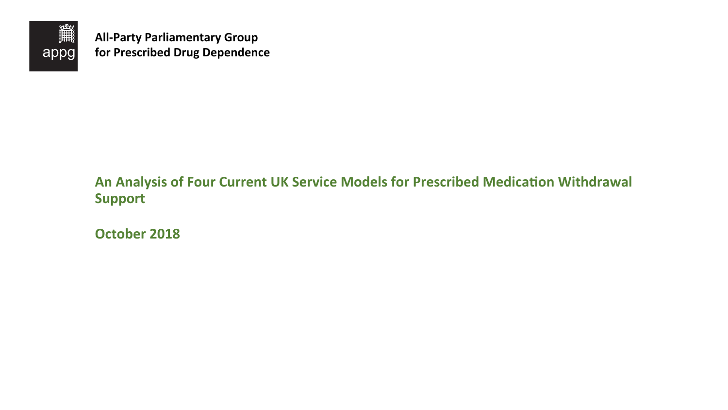**October 2018** 



**All-Party Parliamentary Group for Prescribed Drug Dependence** 

# An Analysis of Four Current UK Service Models for Prescribed Medication Withdrawal **Support**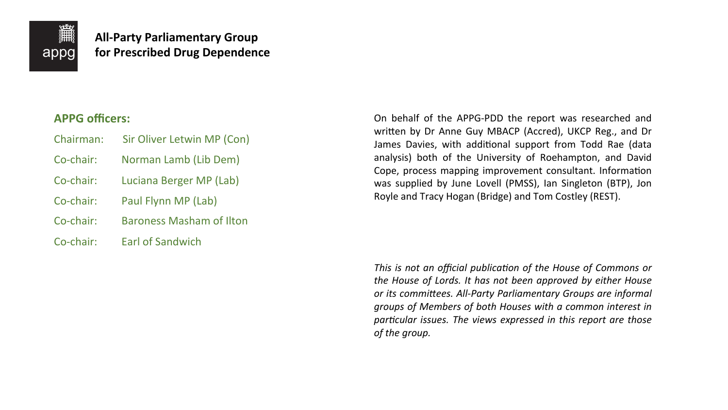

**All-Party Parliamentary Group for Prescribed Drug Dependence** 

## **APPG** officers:

- Chairman: Sir Oliver Letwin MP (Con)
- Co-chair: Norman Lamb (Lib Dem)
- Co-chair: Luciana Berger MP (Lab)
- Co-chair: Paul Flynn MP (Lab)
- Co-chair: Baroness Masham of Ilton
- Co-chair: Earl of Sandwich

On behalf of the APPG-PDD the report was researched and written by Dr Anne Guy MBACP (Accred), UKCP Reg., and Dr James Davies, with additional support from Todd Rae (data analysis) both of the University of Roehampton, and David Cope, process mapping improvement consultant. Information was supplied by June Lovell (PMSS), Ian Singleton (BTP), Jon Royle and Tracy Hogan (Bridge) and Tom Costley (REST).

*This is not an official publication of the House of Commons or the House of Lords. It has not been approved by either House* or its committees. All-Party Parliamentary Groups are informal groups of Members of both Houses with a common interest in *particular issues. The views expressed in this report are those* of the group.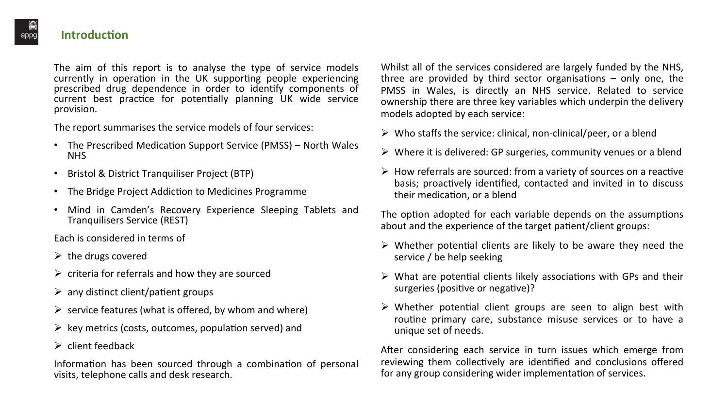The aim of this report is to analyse the type of service models currently in operation in the UK supporting people experiencing prescribed drug dependence in order to identify components of current best practice for potentially planning UK wide service provision. 

The report summarises the service models of four services:

- The Prescribed Medication Support Service (PMSS) North Wales NHS
- Bristol & District Tranquiliser Project (BTP)
- The Bridge Project Addiction to Medicines Programme
- Mind in Camden's Recovery Experience Sleeping Tablets and Tranquilisers Service (REST)

Each is considered in terms of

- $\triangleright$  the drugs covered
- $\triangleright$  criteria for referrals and how they are sourced
- $\triangleright$  any distinct client/patient groups
- $\triangleright$  service features (what is offered, by whom and where)
- $\triangleright$  key metrics (costs, outcomes, population served) and
- $\triangleright$  client feedback

Information has been sourced through a combination of personal visits, telephone calls and desk research.

Whilst all of the services considered are largely funded by the NHS, three are provided by third sector organisations  $-$  only one, the PMSS in Wales, is directly an NHS service. Related to service ownership there are three key variables which underpin the delivery models adopted by each service:

- 
- 
- their medication, or a blend

The option adopted for each variable depends on the assumptions about and the experience of the target patient/client groups:

- service / be help seeking
- surgeries (positive or negative)?
- unique set of needs.

After considering each service in turn issues which emerge from reviewing them collectively are identified and conclusions offered for any group considering wider implementation of services.

 $\triangleright$  Who staffs the service: clinical, non-clinical/peer, or a blend

 $\triangleright$  Where it is delivered: GP surgeries, community venues or a blend

 $\triangleright$  How referrals are sourced: from a variety of sources on a reactive basis; proactively identified, contacted and invited in to discuss

 $\triangleright$  Whether potential clients are likely to be aware they need the

 $\triangleright$  What are potential clients likely associations with GPs and their

 $\triangleright$  Whether potential client groups are seen to align best with routine primary care, substance misuse services or to have a



#### **Introduction**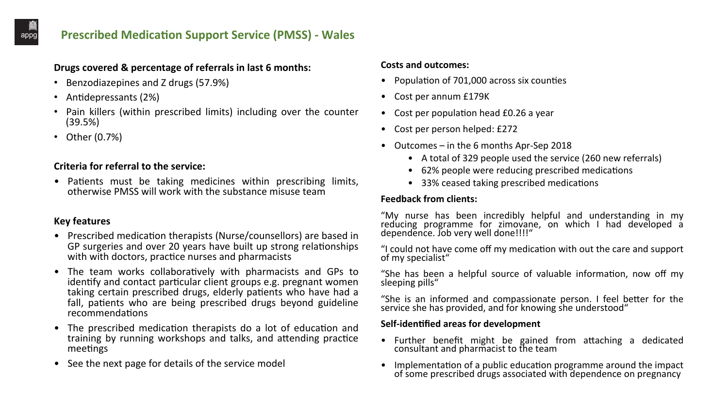## **Prescribed Medication Support Service (PMSS) - Wales**

#### Drugs covered & percentage of referrals in last 6 months:

- Benzodiazepines and Z drugs (57.9%)
- Antidepressants (2%)
- Pain killers (within prescribed limits) including over the counter (39.5%)
- $\bullet$  Other  $(0.7\%)$

#### **Key features**

- Prescribed medication therapists (Nurse/counsellors) are based in GP surgeries and over 20 years have built up strong relationships with with doctors, practice nurses and pharmacists
- The team works collaboratively with pharmacists and GPs to identify and contact particular client groups e.g. pregnant women taking certain prescribed drugs, elderly patients who have had a fall, patients who are being prescribed drugs beyond guideline recommendations
- The prescribed medication therapists do a lot of education and training by running workshops and talks, and attending practice meetings
- See the next page for details of the service model

#### **Costs and outcomes:**

- Population of  $701,000$  across six counties
- Cost per annum £179K
- Cost per population head £0.26 a year
- Cost per person helped: £272
- Outcomes  $-$  in the 6 months Apr-Sep 2018
	-
	-
	-

#### **Feedback from clients:**

"My nurse has been incredibly helpful and understanding in my reducing programme for zimovane, on which I had developed a dependence. Job very well done!!!!"

"I could not have come off my medication with out the care and support of my specialist"

"She has been a helpful source of valuable information, now off my sleeping pills"

"She is an informed and compassionate person. I feel better for the service she has provided, and for knowing she understood"

#### **Self-identified areas for development**

- consultant and pharmacist to the team
- 

• A total of 329 people used the service (260 new referrals) • 62% people were reducing prescribed medications • 33% ceased taking prescribed medications

• Further benefit might be gained from attaching a dedicated

• Implementation of a public education programme around the impact of some prescribed drugs associated with dependence on pregnancy

appg

#### **Criteria for referral to the service:**

Patients must be taking medicines within prescribing limits, otherwise PMSS will work with the substance misuse team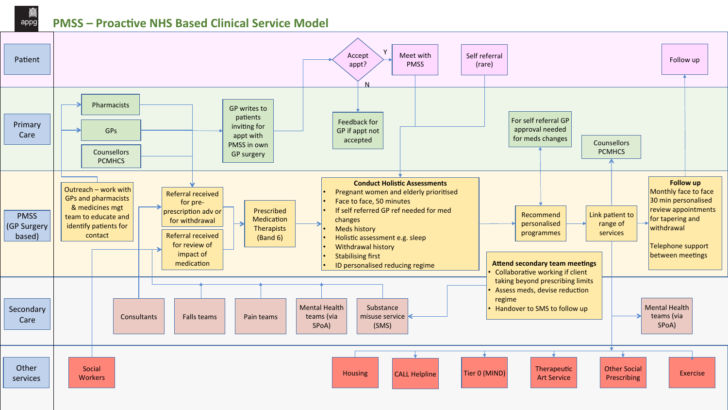#### appg **PMSS** – Proactive NHS Based Clinical Service Model

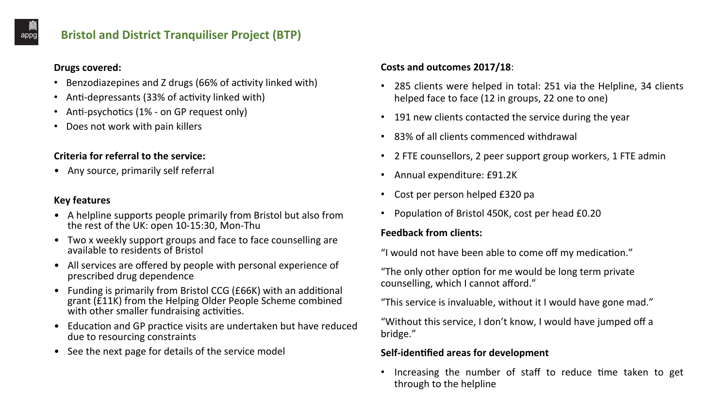## **Bristol and District Tranquiliser Project (BTP)**

#### **Drugs covered:**

#### **Key features**

- A helpline supports people primarily from Bristol but also from the rest of the UK: open 10-15:30, Mon-Thu
- Two x weekly support groups and face to face counselling are available to residents of Bristol
- All services are offered by people with personal experience of prescribed drug dependence
- Funding is primarily from Bristol CCG (£66K) with an additional grant (E11K) from the Helping Older People Scheme combined with other smaller fundraising activities.
- Education and GP practice visits are undertaken but have reduced due to resourcing constraints
- See the next page for details of the service model

"Without this service, I don't know, I would have jumped off a bridge." 

#### **Self-identified areas for development**

through to the helpline

• 285 clients were helped in total: 251 via the Helpline, 34 clients helped face to face (12 in groups, 22 one to one)

• 191 new clients contacted the service during the year

• 2 FTE counsellors, 2 peer support group workers, 1 FTE admin

Population of Bristol 450K, cost per head £0.20

"I would not have been able to come off my medication."

"This service is invaluable, without it I would have gone mad."

• Increasing the number of staff to reduce time taken to get

appg

- Benzodiazepines and Z drugs (66% of activity linked with)
- Anti-depressants (33% of activity linked with)
- Anti-psychotics  $(1% on GP$  request only)
- Does not work with pain killers

#### **Criteria for referral to the service:**

• Any source, primarily self referral

### **Costs and outcomes 2017/18**:

- 
- 
- 83% of all clients commenced withdrawal
- 
- Annual expenditure: £91.2K
- Cost per person helped £320 pa
- 

#### **Feedback from clients:**

"The only other option for me would be long term private counselling, which I cannot afford."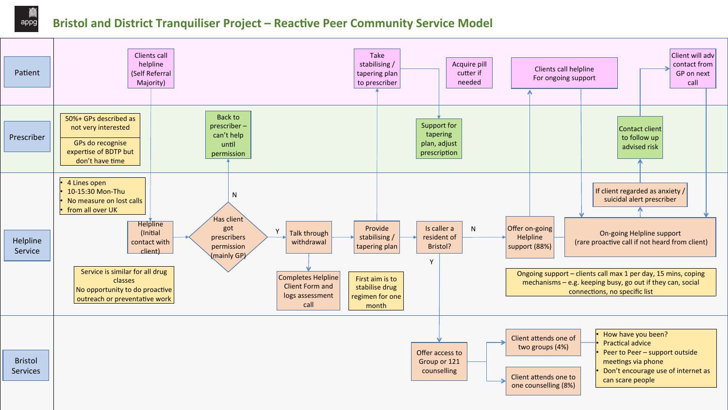

## appg **Bristol and District Tranquiliser Project – Reactive Peer Community Service Model**

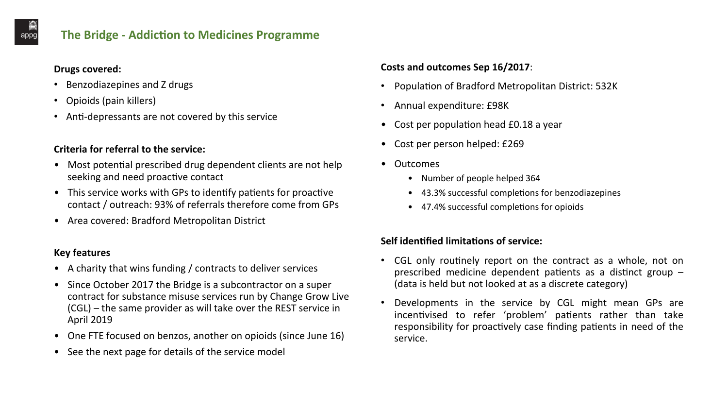## **The Bridge - Addiction to Medicines Programme**

#### **Drugs covered:**

- Benzodiazepines and Z drugs
- Opioids (pain killers)
- Anti-depressants are not covered by this service

#### **Criteria for referral to the service:**

- Most potential prescribed drug dependent clients are not help seeking and need proactive contact
- This service works with GPs to identify patients for proactive contact / outreach: 93% of referrals therefore come from GPs
- Area covered: Bradford Metropolitan District

#### **Key features**

- A charity that wins funding / contracts to deliver services
- Since October 2017 the Bridge is a subcontractor on a super contract for substance misuse services run by Change Grow Live  $(CGL)$  – the same provider as will take over the REST service in **April 2019**
- One FTE focused on benzos, another on opioids (since June 16)
- See the next page for details of the service model

#### **Costs and outcomes Sep 16/2017:**

- 
- Annual expenditure: £98K
- Cost per population head £0.18 a year
- Cost per person helped: £269
- Outcomes
	- Number of people helped 364
	-
	-

#### **Self identified limitations of service:**



Population of Bradford Metropolitan District: 532K

• 43.3% successful completions for benzodiazepines

• 47.4% successful completions for opioids

CGL only routinely report on the contract as a whole, not on prescribed medicine dependent patients as a distinct group  $-$ (data is held but not looked at as a discrete category)

Developments in the service by CGL might mean GPs are incentivised to refer 'problem' patients rather than take responsibility for proactively case finding patients in need of the

- 
- service.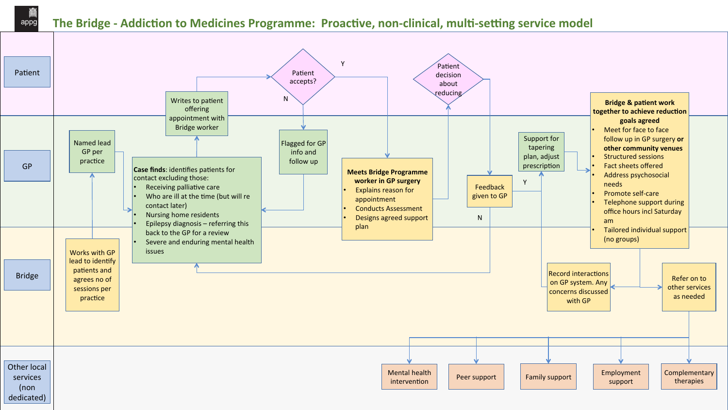### appg The Bridge - Addiction to Medicines Programme: Proactive, non-clinical, multi-setting service model

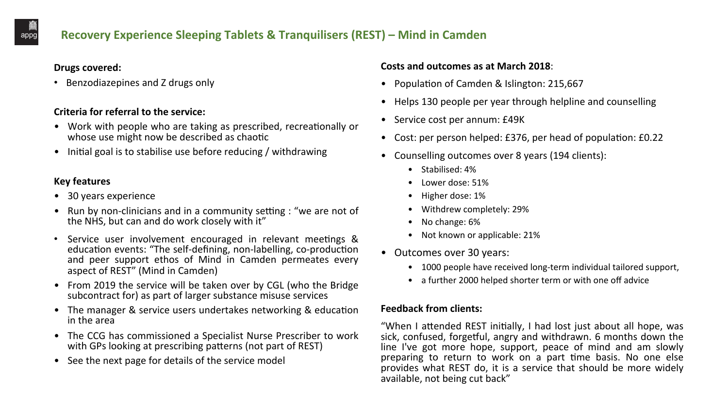#### **Key features**

- 30 years experience
- Run by non-clinicians and in a community setting : "we are not of the NHS, but can and do work closely with it"
- Service user involvement encouraged in relevant meetings & education events: "The self-defining, non-labelling, co-production and peer support ethos of Mind in Camden permeates every aspect of REST" (Mind in Camden)
- From 2019 the service will be taken over by CGL (who the Bridge subcontract for) as part of larger substance misuse services
- The manager & service users undertakes networking & education in the area
- The CCG has commissioned a Specialist Nurse Prescriber to work with GPs looking at prescribing patterns (not part of REST)
- See the next page for details of the service model

#### **Costs and outcomes as at March 2018:**

- Population of Camden & Islington: 215,667
- 
- Service cost per annum: £49K
- 
- - Stabilised: 4%
	- Lower dose: 51%
	- Higher dose: 1%
	- Withdrew completely: 29%
	- No change: 6%
	- Not known or applicable: 21%
- Outcomes over 30 years:
	-
	-

#### **Feedback from clients:**

"When I attended REST initially, I had lost just about all hope, was sick, confused, forgetful, angry and withdrawn. 6 months down the line I've got more hope, support, peace of mind and am slowly preparing to return to work on a part time basis. No one else provides what REST do, it is a service that should be more widely available, not being cut back"

• Helps 130 people per year through helpline and counselling

• Cost: per person helped: £376, per head of population: £0.22

• Counselling outcomes over 8 years (194 clients):

• 1000 people have received long-term individual tailored support, • a further 2000 helped shorter term or with one off advice



## **Recovery Experience Sleeping Tablets & Tranquilisers (REST) – Mind in Camden**

#### **Drugs covered:**

• Benzodiazepines and Z drugs only

#### **Criteria for referral to the service:**

- Work with people who are taking as prescribed, recreationally or whose use might now be described as chaotic
- Initial goal is to stabilise use before reducing / withdrawing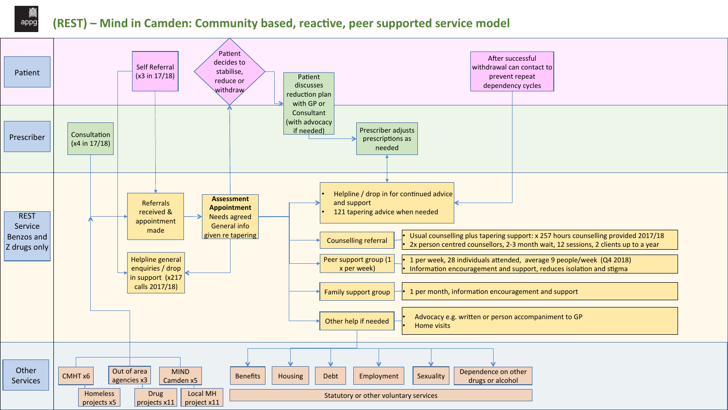## appg **(REST)** – Mind in Camden: Community based, reactive, peer supported service model



| After successful<br>ndrawal can contact to<br>prevent repeat<br>dependency cycles |  |  |  |
|-----------------------------------------------------------------------------------|--|--|--|
|                                                                                   |  |  |  |
|                                                                                   |  |  |  |
|                                                                                   |  |  |  |
|                                                                                   |  |  |  |
|                                                                                   |  |  |  |
|                                                                                   |  |  |  |
|                                                                                   |  |  |  |
|                                                                                   |  |  |  |
|                                                                                   |  |  |  |

Usual counselling plus tapering support: x 257 hours counselling provided 2017/18 2x person centred counsellors, 2-3 month wait, 12 sessions, 2 clients up to a year

1 per week, 28 individuals attended, average 9 people/week (Q4 2018) Information encouragement and support, reduces isolation and stigma

Advocacy e.g. written or person accompaniment to GP

| nce on other! |  |
|---------------|--|
| or alcohol    |  |
|               |  |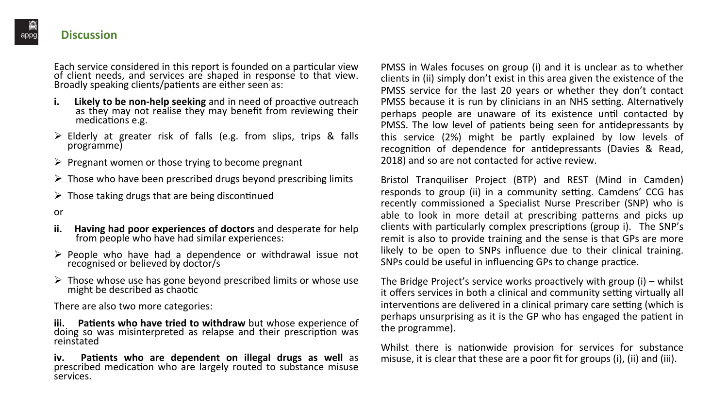**iii.** Patients who have tried to withdraw but whose experience of doing so was misinterpreted as relapse and their prescription was reinstated 

or 

- **ii. Having had poor experiences of doctors** and desperate for help from people who have had similar experiences:
- $\triangleright$  People who have had a dependence or withdrawal issue not recognised or believed by doctor/s
- $\triangleright$  Those whose use has gone beyond prescribed limits or whose use might be described as chaotic

There are also two more categories:

iv. Patients who are dependent on illegal drugs as well as prescribed medication who are largely routed to substance misuse services. 

PMSS in Wales focuses on group (i) and it is unclear as to whether clients in (ii) simply don't exist in this area given the existence of the PMSS service for the last 20 years or whether they don't contact PMSS because it is run by clinicians in an NHS setting. Alternatively perhaps people are unaware of its existence until contacted by PMSS. The low level of patients being seen for antidepressants by this service (2%) might be partly explained by low levels of recognition of dependence for antidepressants (Davies & Read, 2018) and so are not contacted for active review.

Bristol Tranquiliser Project (BTP) and REST (Mind in Camden) responds to group (ii) in a community setting. Camdens' CCG has recently commissioned a Specialist Nurse Prescriber (SNP) who is able to look in more detail at prescribing patterns and picks up clients with particularly complex prescriptions (group i). The SNP's remit is also to provide training and the sense is that GPs are more likely to be open to SNPs influence due to their clinical training. SNPs could be useful in influencing GPs to change practice.

The Bridge Project's service works proactively with group  $(i)$  – whilst it offers services in both a clinical and community setting virtually all interventions are delivered in a clinical primary care setting (which is perhaps unsurprising as it is the GP who has engaged the patient in the programme).

Whilst there is nationwide provision for services for substance misuse, it is clear that these are a poor fit for groups (i), (ii) and (iii).

#### **Discussion**

Each service considered in this report is founded on a particular view of client needs, and services are shaped in response to that view. Broadly speaking clients/patients are either seen as:

- **i.** Likely to be non-help seeking and in need of proactive outreach as they may not realise they may benefit from reviewing their medications e.g.
- $\triangleright$  Elderly at greater risk of falls (e.g. from slips, trips & falls programme)
- $\triangleright$  Pregnant women or those trying to become pregnant
- $\triangleright$  Those who have been prescribed drugs beyond prescribing limits
- $\triangleright$  Those taking drugs that are being discontinued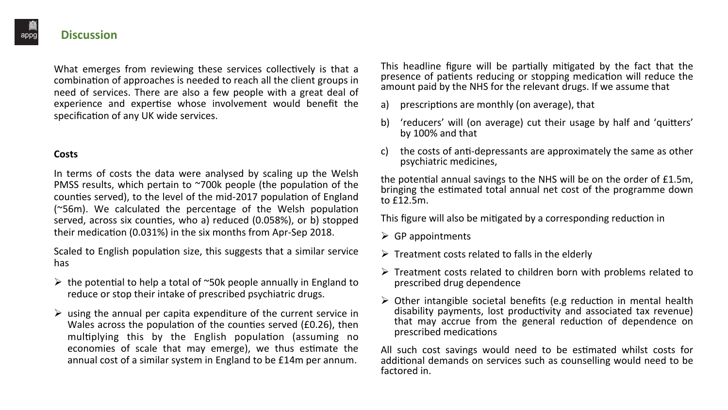#### **Costs**

In terms of costs the data were analysed by scaling up the Welsh PMSS results, which pertain to  $\sim$ 700k people (the population of the counties served), to the level of the mid-2017 population of England ( $^{\sim}$ 56m). We calculated the percentage of the Welsh population served, across six counties, who a) reduced (0.058%), or b) stopped their medication (0.031%) in the six months from Apr-Sep 2018.

Scaled to English population size, this suggests that a similar service has 

- $\triangleright$  the potential to help a total of ~50k people annually in England to reduce or stop their intake of prescribed psychiatric drugs.
- $\triangleright$  using the annual per capita expenditure of the current service in Wales across the population of the counties served (£0.26), then multiplying this by the English population (assuming no economies of scale that may emerge), we thus estimate the annual cost of a similar system in England to be £14m per annum.

This headline figure will be partially mitigated by the fact that the presence of patients reducing or stopping medication will reduce the amount paid by the NHS for the relevant drugs. If we assume that

- 
- by 100% and that
- psychiatric medicines,

the potential annual savings to the NHS will be on the order of £1.5m, bringing the estimated total annual net cost of the programme down to £12.5m. 

This figure will also be mitigated by a corresponding reduction in

- $\triangleright$  GP appointments
- $\triangleright$  Treatment costs related to falls in the elderly
- prescribed drug dependence
- prescribed medications

All such cost savings would need to be estimated whilst costs for additional demands on services such as counselling would need to be factored in.

a) prescriptions are monthly (on average), that

b) 'reducers' will (on average) cut their usage by half and 'quitters'

c) the costs of anti-depressants are approximately the same as other

 $\triangleright$  Treatment costs related to children born with problems related to

 $\triangleright$  Other intangible societal benefits (e.g reduction in mental health disability payments, lost productivity and associated tax revenue) that may accrue from the general reduction of dependence on

#### **Discussion**

What emerges from reviewing these services collectively is that a combination of approaches is needed to reach all the client groups in need of services. There are also a few people with a great deal of experience and expertise whose involvement would benefit the specification of any UK wide services.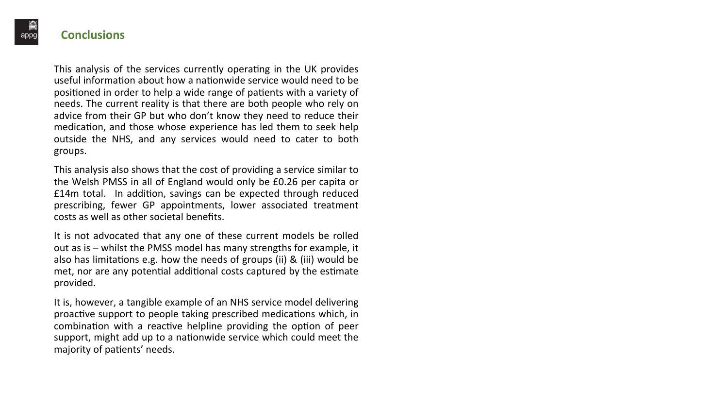#### **Conclusions**

This analysis of the services currently operating in the UK provides useful information about how a nationwide service would need to be positioned in order to help a wide range of patients with a variety of needs. The current reality is that there are both people who rely on advice from their GP but who don't know they need to reduce their medication, and those whose experience has led them to seek help outside the NHS, and any services would need to cater to both groups. 

This analysis also shows that the cost of providing a service similar to the Welsh PMSS in all of England would only be £0.26 per capita or £14m total. In addition, savings can be expected through reduced prescribing, fewer GP appointments, lower associated treatment costs as well as other societal benefits.

It is not advocated that any one of these current models be rolled out as is  $-$  whilst the PMSS model has many strengths for example, it also has limitations e.g. how the needs of groups (ii) & (iii) would be met, nor are any potential additional costs captured by the estimate provided. 

It is, however, a tangible example of an NHS service model delivering proactive support to people taking prescribed medications which, in combination with a reactive helpline providing the option of peer support, might add up to a nationwide service which could meet the majority of patients' needs.